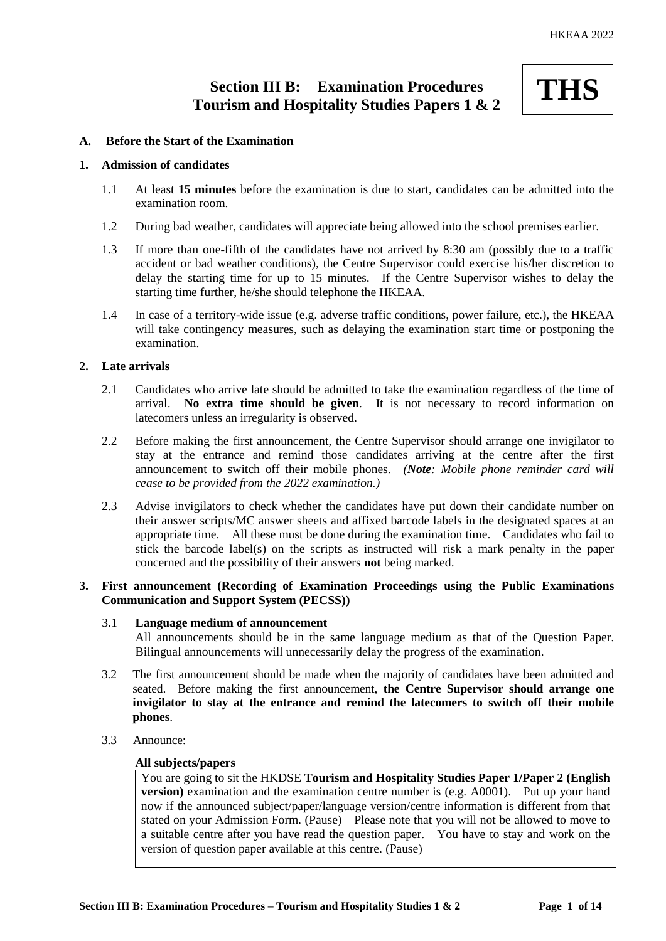# **Section III B: Examination Procedures Tourism and Hospitality Studies Papers 1 & 2**

# **THS**

# **A. Before the Start of the Examination**

# **1. Admission of candidates**

- 1.1 At least **15 minutes** before the examination is due to start, candidates can be admitted into the examination room.
- 1.2 During bad weather, candidates will appreciate being allowed into the school premises earlier.
- 1.3 If more than one-fifth of the candidates have not arrived by 8:30 am (possibly due to a traffic accident or bad weather conditions), the Centre Supervisor could exercise his/her discretion to delay the starting time for up to 15 minutes. If the Centre Supervisor wishes to delay the starting time further, he/she should telephone the HKEAA.
- 1.4 In case of a territory-wide issue (e.g. adverse traffic conditions, power failure, etc.), the HKEAA will take contingency measures, such as delaying the examination start time or postponing the examination.

# **2. Late arrivals**

- 2.1 Candidates who arrive late should be admitted to take the examination regardless of the time of arrival. **No extra time should be given**. It is not necessary to record information on latecomers unless an irregularity is observed.
- 2.2 Before making the first announcement, the Centre Supervisor should arrange one invigilator to stay at the entrance and remind those candidates arriving at the centre after the first announcement to switch off their mobile phones. *(Note: Mobile phone reminder card will cease to be provided from the 2022 examination.)*
- 2.3 Advise invigilators to check whether the candidates have put down their candidate number on their answer scripts/MC answer sheets and affixed barcode labels in the designated spaces at an appropriate time. All these must be done during the examination time. Candidates who fail to stick the barcode label(s) on the scripts as instructed will risk a mark penalty in the paper concerned and the possibility of their answers **not** being marked.

# **3. First announcement (Recording of Examination Proceedings using the Public Examinations Communication and Support System (PECSS))**

# 3.1 **Language medium of announcement**

All announcements should be in the same language medium as that of the Question Paper. Bilingual announcements will unnecessarily delay the progress of the examination.

- 3.2 The first announcement should be made when the majority of candidates have been admitted and seated. Before making the first announcement, **the Centre Supervisor should arrange one invigilator to stay at the entrance and remind the latecomers to switch off their mobile phones**.
- 3.3 Announce:

# **All subjects/papers**

You are going to sit the HKDSE **Tourism and Hospitality Studies Paper 1/Paper 2 (English version**) examination and the examination centre number is (e.g. A0001). Put up your hand now if the announced subject/paper/language version/centre information is different from that stated on your Admission Form. (Pause) Please note that you will not be allowed to move to a suitable centre after you have read the question paper. You have to stay and work on the version of question paper available at this centre. (Pause)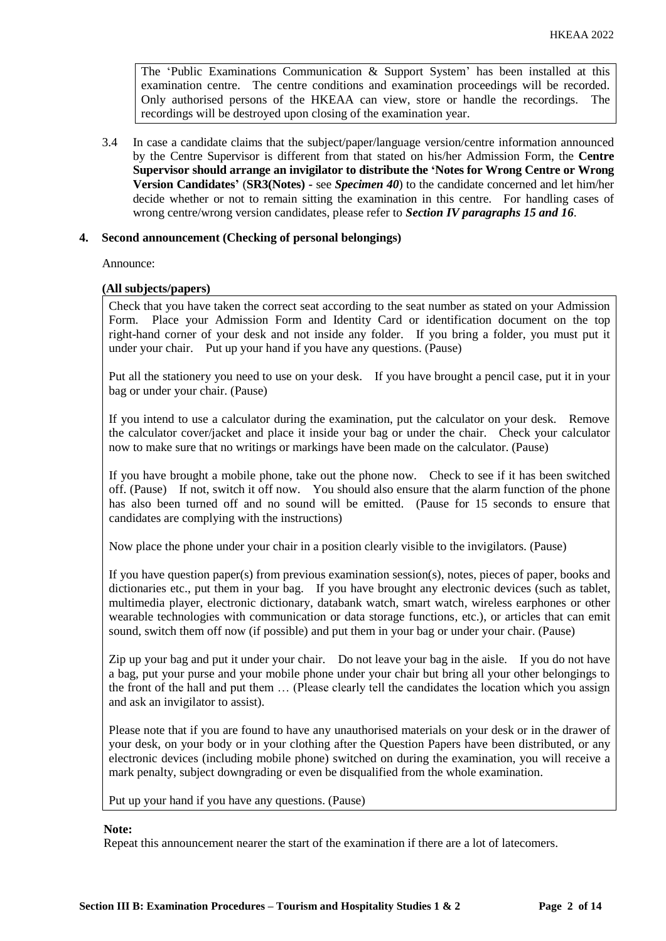The 'Public Examinations Communication  $\&$  Support System' has been installed at this examination centre. The centre conditions and examination proceedings will be recorded. Only authorised persons of the HKEAA can view, store or handle the recordings. The recordings will be destroyed upon closing of the examination year.

3.4 In case a candidate claims that the subject/paper/language version/centre information announced by the Centre Supervisor is different from that stated on his/her Admission Form, the **Centre Supervisor should arrange an invigilator to distribute the 'Notes for Wrong Centre or Wrong Version Candidates'** (**SR3(Notes) -** see *Specimen 40*) to the candidate concerned and let him/her decide whether or not to remain sitting the examination in this centre. For handling cases of wrong centre/wrong version candidates, please refer to *Section IV paragraphs 15 and 16*.

# **4. Second announcement (Checking of personal belongings)**

Announce:

### **(All subjects/papers)**

Check that you have taken the correct seat according to the seat number as stated on your Admission Form. Place your Admission Form and Identity Card or identification document on the top right-hand corner of your desk and not inside any folder. If you bring a folder, you must put it under your chair. Put up your hand if you have any questions. (Pause)

Put all the stationery you need to use on your desk. If you have brought a pencil case, put it in your bag or under your chair. (Pause)

If you intend to use a calculator during the examination, put the calculator on your desk. Remove the calculator cover/jacket and place it inside your bag or under the chair. Check your calculator now to make sure that no writings or markings have been made on the calculator. (Pause)

If you have brought a mobile phone, take out the phone now. Check to see if it has been switched off. (Pause) If not, switch it off now. You should also ensure that the alarm function of the phone has also been turned off and no sound will be emitted. (Pause for 15 seconds to ensure that candidates are complying with the instructions)

Now place the phone under your chair in a position clearly visible to the invigilators. (Pause)

If you have question paper(s) from previous examination session(s), notes, pieces of paper, books and dictionaries etc., put them in your bag. If you have brought any electronic devices (such as tablet, multimedia player, electronic dictionary, databank watch, smart watch, wireless earphones or other wearable technologies with communication or data storage functions, etc.), or articles that can emit sound, switch them off now (if possible) and put them in your bag or under your chair. (Pause)

Zip up your bag and put it under your chair. Do not leave your bag in the aisle. If you do not have a bag, put your purse and your mobile phone under your chair but bring all your other belongings to the front of the hall and put them … (Please clearly tell the candidates the location which you assign and ask an invigilator to assist).

Please note that if you are found to have any unauthorised materials on your desk or in the drawer of your desk, on your body or in your clothing after the Question Papers have been distributed, or any electronic devices (including mobile phone) switched on during the examination, you will receive a mark penalty, subject downgrading or even be disqualified from the whole examination.

Put up your hand if you have any questions. (Pause)

### **Note:**

Repeat this announcement nearer the start of the examination if there are a lot of latecomers.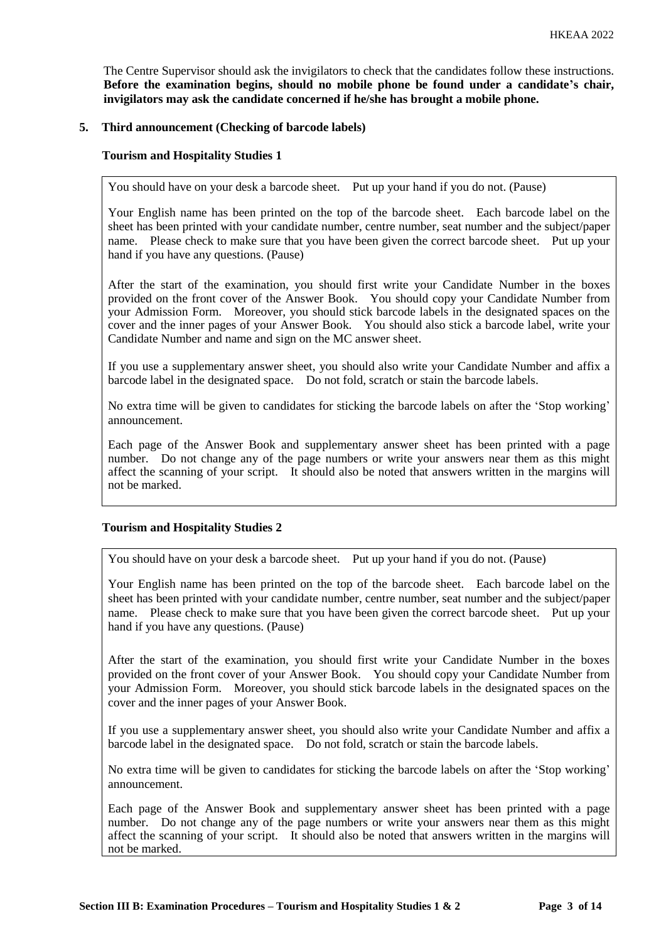The Centre Supervisor should ask the invigilators to check that the candidates follow these instructions. **Before the examination begins, should no mobile phone be found under a candidate's chair, invigilators may ask the candidate concerned if he/she has brought a mobile phone.**

# **5. Third announcement (Checking of barcode labels)**

### **Tourism and Hospitality Studies 1**

You should have on your desk a barcode sheet. Put up your hand if you do not. (Pause)

Your English name has been printed on the top of the barcode sheet. Each barcode label on the sheet has been printed with your candidate number, centre number, seat number and the subject/paper name. Please check to make sure that you have been given the correct barcode sheet. Put up your hand if you have any questions. (Pause)

After the start of the examination, you should first write your Candidate Number in the boxes provided on the front cover of the Answer Book. You should copy your Candidate Number from your Admission Form. Moreover, you should stick barcode labels in the designated spaces on the cover and the inner pages of your Answer Book. You should also stick a barcode label, write your Candidate Number and name and sign on the MC answer sheet.

If you use a supplementary answer sheet, you should also write your Candidate Number and affix a barcode label in the designated space. Do not fold, scratch or stain the barcode labels.

No extra time will be given to candidates for sticking the barcode labels on after the 'Stop working' announcement.

Each page of the Answer Book and supplementary answer sheet has been printed with a page number. Do not change any of the page numbers or write your answers near them as this might affect the scanning of your script. It should also be noted that answers written in the margins will not be marked.

#### **Tourism and Hospitality Studies 2**

You should have on your desk a barcode sheet. Put up your hand if you do not. (Pause)

Your English name has been printed on the top of the barcode sheet. Each barcode label on the sheet has been printed with your candidate number, centre number, seat number and the subject/paper name. Please check to make sure that you have been given the correct barcode sheet. Put up your hand if you have any questions. (Pause)

After the start of the examination, you should first write your Candidate Number in the boxes provided on the front cover of your Answer Book. You should copy your Candidate Number from your Admission Form. Moreover, you should stick barcode labels in the designated spaces on the cover and the inner pages of your Answer Book.

If you use a supplementary answer sheet, you should also write your Candidate Number and affix a barcode label in the designated space. Do not fold, scratch or stain the barcode labels.

No extra time will be given to candidates for sticking the barcode labels on after the 'Stop working' announcement.

Each page of the Answer Book and supplementary answer sheet has been printed with a page number. Do not change any of the page numbers or write your answers near them as this might affect the scanning of your script. It should also be noted that answers written in the margins will not be marked.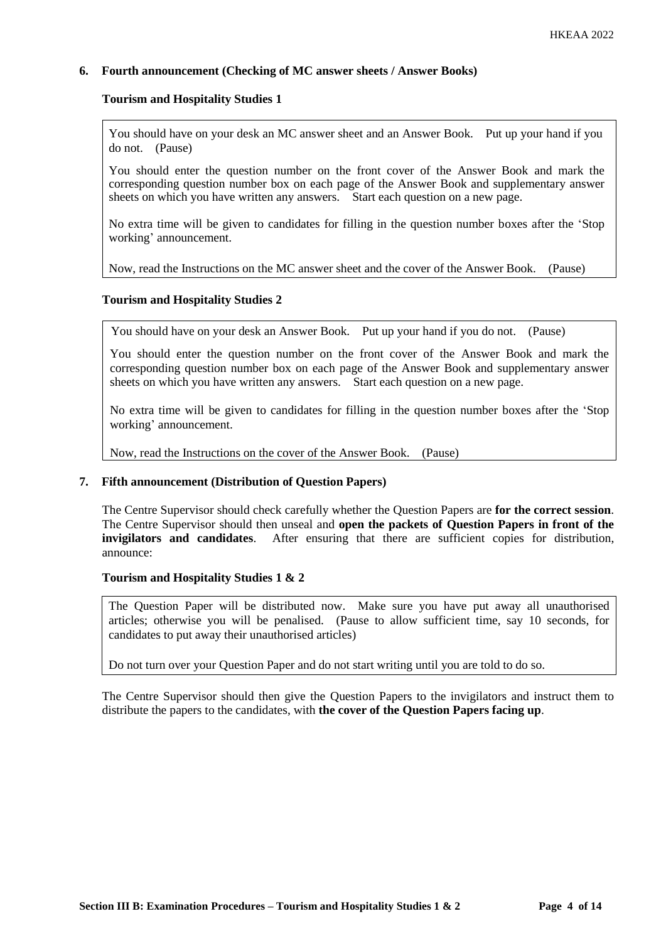# **6. Fourth announcement (Checking of MC answer sheets / Answer Books)**

#### **Tourism and Hospitality Studies 1**

You should have on your desk an MC answer sheet and an Answer Book. Put up your hand if you do not. (Pause)

You should enter the question number on the front cover of the Answer Book and mark the corresponding question number box on each page of the Answer Book and supplementary answer sheets on which you have written any answers. Start each question on a new page.

No extra time will be given to candidates for filling in the question number boxes after the 'Stop working' announcement.

Now, read the Instructions on the MC answer sheet and the cover of the Answer Book. (Pause)

### **Tourism and Hospitality Studies 2**

You should have on your desk an Answer Book. Put up your hand if you do not. (Pause)

You should enter the question number on the front cover of the Answer Book and mark the corresponding question number box on each page of the Answer Book and supplementary answer sheets on which you have written any answers. Start each question on a new page.

No extra time will be given to candidates for filling in the question number boxes after the 'Stop working' announcement.

Now, read the Instructions on the cover of the Answer Book. (Pause)

### **7. Fifth announcement (Distribution of Question Papers)**

The Centre Supervisor should check carefully whether the Question Papers are **for the correct session**. The Centre Supervisor should then unseal and **open the packets of Question Papers in front of the invigilators and candidates**. After ensuring that there are sufficient copies for distribution, announce:

#### **Tourism and Hospitality Studies 1 & 2**

The Question Paper will be distributed now. Make sure you have put away all unauthorised articles; otherwise you will be penalised. (Pause to allow sufficient time, say 10 seconds, for candidates to put away their unauthorised articles)

Do not turn over your Question Paper and do not start writing until you are told to do so.

The Centre Supervisor should then give the Question Papers to the invigilators and instruct them to distribute the papers to the candidates, with **the cover of the Question Papers facing up**.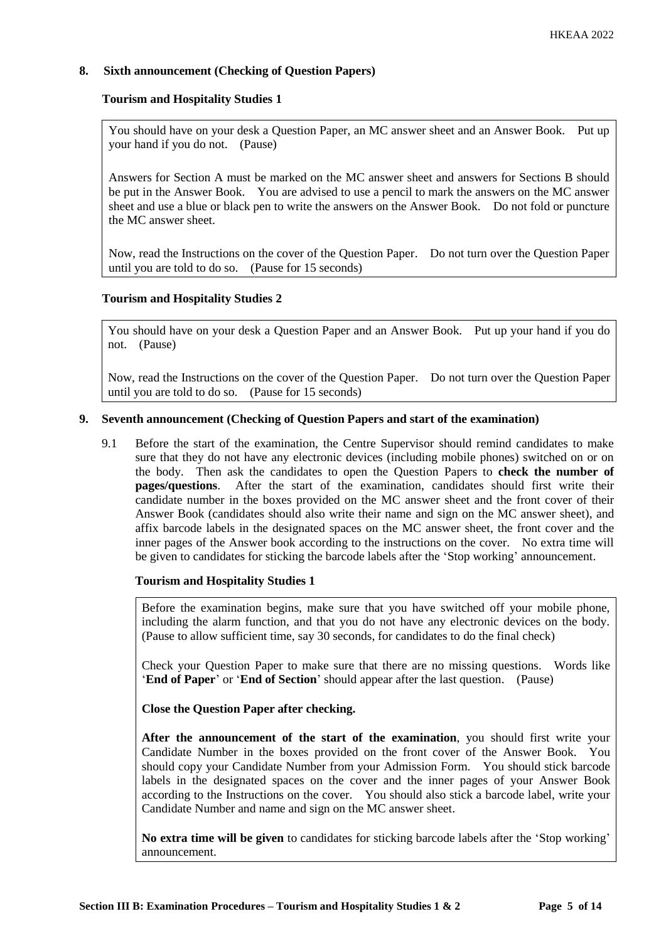# **8. Sixth announcement (Checking of Question Papers)**

# **Tourism and Hospitality Studies 1**

You should have on your desk a Question Paper, an MC answer sheet and an Answer Book. Put up your hand if you do not. (Pause)

Answers for Section A must be marked on the MC answer sheet and answers for Sections B should be put in the Answer Book. You are advised to use a pencil to mark the answers on the MC answer sheet and use a blue or black pen to write the answers on the Answer Book. Do not fold or puncture the MC answer sheet.

Now, read the Instructions on the cover of the Question Paper. Do not turn over the Question Paper until you are told to do so. (Pause for 15 seconds)

# **Tourism and Hospitality Studies 2**

You should have on your desk a Question Paper and an Answer Book. Put up your hand if you do not. (Pause)

Now, read the Instructions on the cover of the Question Paper. Do not turn over the Question Paper until you are told to do so. (Pause for 15 seconds)

# **9. Seventh announcement (Checking of Question Papers and start of the examination)**

9.1 Before the start of the examination, the Centre Supervisor should remind candidates to make sure that they do not have any electronic devices (including mobile phones) switched on or on the body. Then ask the candidates to open the Question Papers to **check the number of pages/questions**. After the start of the examination, candidates should first write their candidate number in the boxes provided on the MC answer sheet and the front cover of their Answer Book (candidates should also write their name and sign on the MC answer sheet), and affix barcode labels in the designated spaces on the MC answer sheet, the front cover and the inner pages of the Answer book according to the instructions on the cover. No extra time will be given to candidates for sticking the barcode labels after the 'Stop working' announcement.

# **Tourism and Hospitality Studies 1**

Before the examination begins, make sure that you have switched off your mobile phone, including the alarm function, and that you do not have any electronic devices on the body. (Pause to allow sufficient time, say 30 seconds, for candidates to do the final check)

Check your Question Paper to make sure that there are no missing questions. Words like '**End of Paper**' or '**End of Section**' should appear after the last question. (Pause)

**Close the Question Paper after checking.**

**After the announcement of the start of the examination**, you should first write your Candidate Number in the boxes provided on the front cover of the Answer Book. You should copy your Candidate Number from your Admission Form. You should stick barcode labels in the designated spaces on the cover and the inner pages of your Answer Book according to the Instructions on the cover. You should also stick a barcode label, write your Candidate Number and name and sign on the MC answer sheet.

**No extra time will be given** to candidates for sticking barcode labels after the 'Stop working' announcement.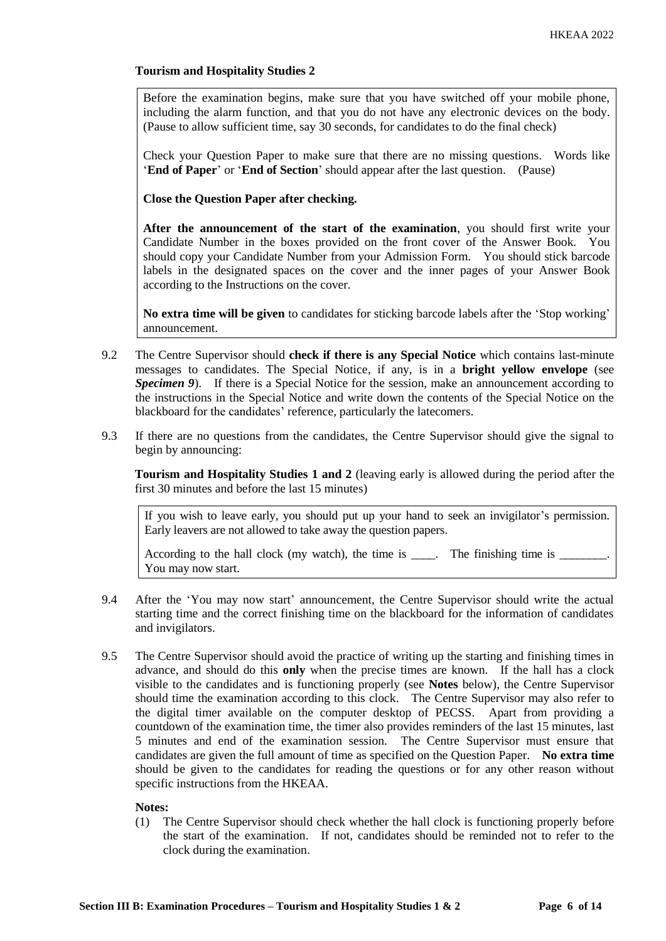# **Tourism and Hospitality Studies 2**

Before the examination begins, make sure that you have switched off your mobile phone, including the alarm function, and that you do not have any electronic devices on the body. (Pause to allow sufficient time, say 30 seconds, for candidates to do the final check)

Check your Question Paper to make sure that there are no missing questions. Words like '**End of Paper**' or '**End of Section**' should appear after the last question. (Pause)

**Close the Question Paper after checking.**

**After the announcement of the start of the examination**, you should first write your Candidate Number in the boxes provided on the front cover of the Answer Book. You should copy your Candidate Number from your Admission Form. You should stick barcode labels in the designated spaces on the cover and the inner pages of your Answer Book according to the Instructions on the cover.

**No extra time will be given** to candidates for sticking barcode labels after the 'Stop working' announcement.

- 9.2 The Centre Supervisor should **check if there is any Special Notice** which contains last-minute messages to candidates. The Special Notice, if any, is in a **bright yellow envelope** (see **Specimen 9**). If there is a Special Notice for the session, make an announcement according to the instructions in the Special Notice and write down the contents of the Special Notice on the blackboard for the candidates' reference, particularly the latecomers.
- 9.3 If there are no questions from the candidates, the Centre Supervisor should give the signal to begin by announcing:

**Tourism and Hospitality Studies 1 and 2** (leaving early is allowed during the period after the first 30 minutes and before the last 15 minutes)

If you wish to leave early, you should put up your hand to seek an invigilator's permission. Early leavers are not allowed to take away the question papers.

According to the hall clock (my watch), the time is  $\_\_\_\_\_\$ . The finishing time is  $\_\_\_\_\$ You may now start.

- 9.4 After the 'You may now start' announcement, the Centre Supervisor should write the actual starting time and the correct finishing time on the blackboard for the information of candidates and invigilators.
- 9.5 The Centre Supervisor should avoid the practice of writing up the starting and finishing times in advance, and should do this **only** when the precise times are known. If the hall has a clock visible to the candidates and is functioning properly (see **Notes** below), the Centre Supervisor should time the examination according to this clock. The Centre Supervisor may also refer to the digital timer available on the computer desktop of PECSS. Apart from providing a countdown of the examination time, the timer also provides reminders of the last 15 minutes, last 5 minutes and end of the examination session. The Centre Supervisor must ensure that candidates are given the full amount of time as specified on the Question Paper. **No extra time** should be given to the candidates for reading the questions or for any other reason without specific instructions from the HKEAA.

#### **Notes:**

(1) The Centre Supervisor should check whether the hall clock is functioning properly before the start of the examination. If not, candidates should be reminded not to refer to the clock during the examination.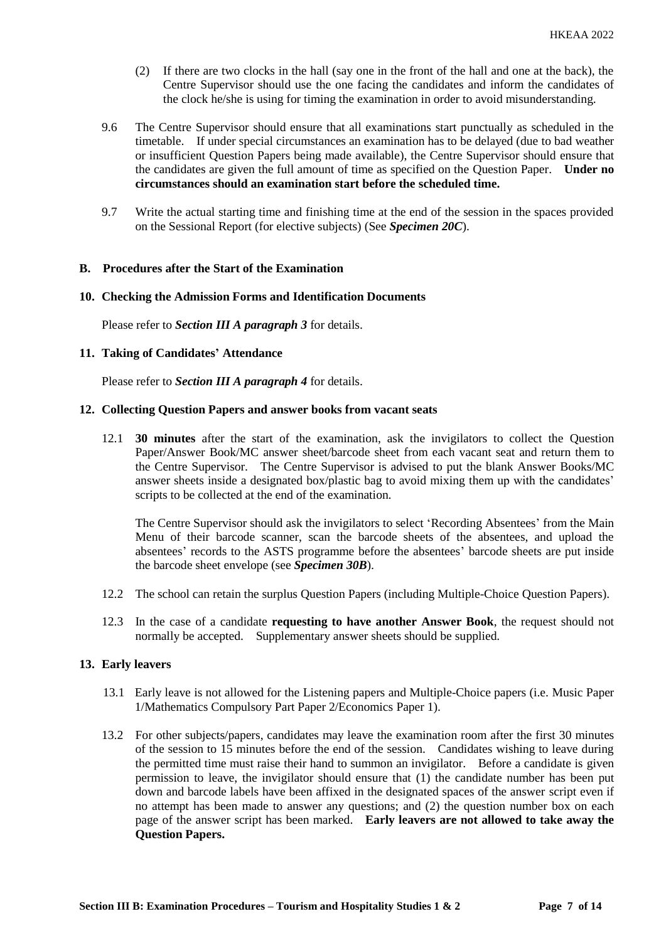- (2) If there are two clocks in the hall (say one in the front of the hall and one at the back), the Centre Supervisor should use the one facing the candidates and inform the candidates of the clock he/she is using for timing the examination in order to avoid misunderstanding.
- 9.6 The Centre Supervisor should ensure that all examinations start punctually as scheduled in the timetable. If under special circumstances an examination has to be delayed (due to bad weather or insufficient Question Papers being made available), the Centre Supervisor should ensure that the candidates are given the full amount of time as specified on the Question Paper. **Under no circumstances should an examination start before the scheduled time.**
- 9.7 Write the actual starting time and finishing time at the end of the session in the spaces provided on the Sessional Report (for elective subjects) (See *Specimen 20C*).

#### **B. Procedures after the Start of the Examination**

#### **10. Checking the Admission Forms and Identification Documents**

Please refer to *Section III A paragraph 3* for details.

#### **11. Taking of Candidates' Attendance**

Please refer to *Section III A paragraph 4* for details.

#### **12. Collecting Question Papers and answer books from vacant seats**

12.1 **30 minutes** after the start of the examination, ask the invigilators to collect the Question Paper/Answer Book/MC answer sheet/barcode sheet from each vacant seat and return them to the Centre Supervisor. The Centre Supervisor is advised to put the blank Answer Books/MC answer sheets inside a designated box/plastic bag to avoid mixing them up with the candidates' scripts to be collected at the end of the examination.

The Centre Supervisor should ask the invigilators to select 'Recording Absentees' from the Main Menu of their barcode scanner, scan the barcode sheets of the absentees, and upload the absentees' records to the ASTS programme before the absentees' barcode sheets are put inside the barcode sheet envelope (see *Specimen 30B*).

- 12.2 The school can retain the surplus Question Papers (including Multiple-Choice Question Papers).
- 12.3 In the case of a candidate **requesting to have another Answer Book**, the request should not normally be accepted. Supplementary answer sheets should be supplied.

#### **13. Early leavers**

- 13.1 Early leave is not allowed for the Listening papers and Multiple-Choice papers (i.e. Music Paper 1/Mathematics Compulsory Part Paper 2/Economics Paper 1).
- 13.2 For other subjects/papers, candidates may leave the examination room after the first 30 minutes of the session to 15 minutes before the end of the session. Candidates wishing to leave during the permitted time must raise their hand to summon an invigilator. Before a candidate is given permission to leave, the invigilator should ensure that (1) the candidate number has been put down and barcode labels have been affixed in the designated spaces of the answer script even if no attempt has been made to answer any questions; and (2) the question number box on each page of the answer script has been marked. **Early leavers are not allowed to take away the Question Papers.**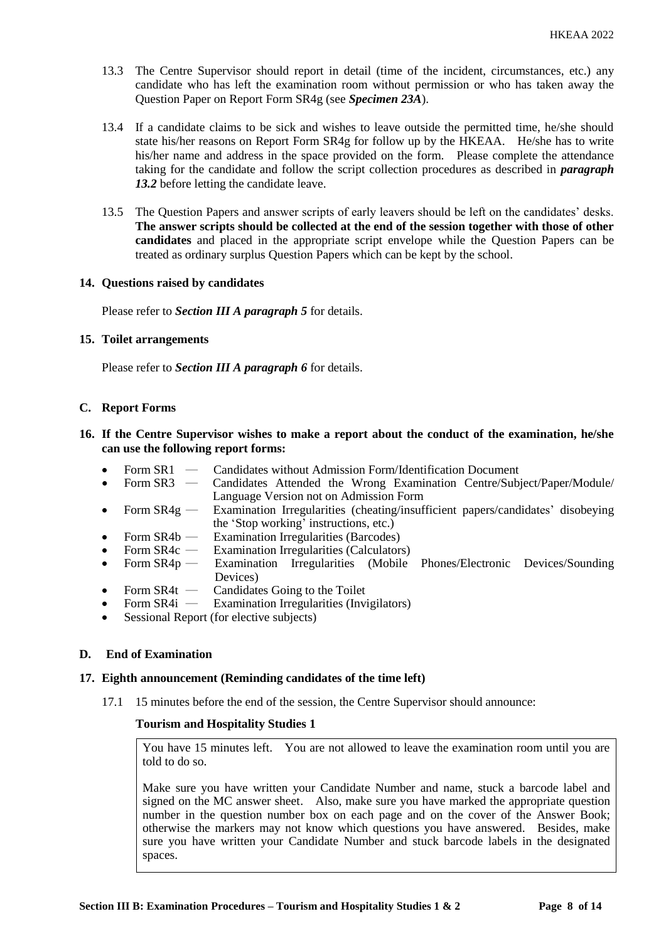- 13.3 The Centre Supervisor should report in detail (time of the incident, circumstances, etc.) any candidate who has left the examination room without permission or who has taken away the Question Paper on Report Form SR4g (see *Specimen 23A*).
- 13.4 If a candidate claims to be sick and wishes to leave outside the permitted time, he/she should state his/her reasons on Report Form SR4g for follow up by the HKEAA. He/she has to write his/her name and address in the space provided on the form. Please complete the attendance taking for the candidate and follow the script collection procedures as described in *paragraph 13.2* before letting the candidate leave.
- 13.5 The Question Papers and answer scripts of early leavers should be left on the candidates' desks. **The answer scripts should be collected at the end of the session together with those of other candidates** and placed in the appropriate script envelope while the Question Papers can be treated as ordinary surplus Question Papers which can be kept by the school.

### **14. Questions raised by candidates**

Please refer to *Section III A paragraph 5* for details.

### **15. Toilet arrangements**

Please refer to *Section III A paragraph 6* for details.

### **C. Report Forms**

# **16. If the Centre Supervisor wishes to make a report about the conduct of the examination, he/she can use the following report forms:**

- Form SR1 Candidates without Admission Form/Identification Document
- Form SR3 Candidates Attended the Wrong Examination Centre/Subject/Paper/Module/ Language Version not on Admission Form
- Form SR4g Examination Irregularities (cheating/insufficient papers/candidates' disobeying the 'Stop working' instructions, etc.)
- Form  $SR4b$  Examination Irregularities (Barcodes)
- Form SR4c ― Examination Irregularities (Calculators)
- Form SR4p Examination Irregularities (Mobile Phones/Electronic Devices/Sounding Devices)
- Form  $SR4t$  Candidates Going to the Toilet<br>• Form  $SR4i$  Examination Irregularities (Inv.
- Examination Irregularities (Invigilators)
- Sessional Report (for elective subjects)

# **D. End of Examination**

#### **17. Eighth announcement (Reminding candidates of the time left)**

17.1 15 minutes before the end of the session, the Centre Supervisor should announce:

#### **Tourism and Hospitality Studies 1**

You have 15 minutes left. You are not allowed to leave the examination room until you are told to do so.

Make sure you have written your Candidate Number and name, stuck a barcode label and signed on the MC answer sheet. Also, make sure you have marked the appropriate question number in the question number box on each page and on the cover of the Answer Book; otherwise the markers may not know which questions you have answered. Besides, make sure you have written your Candidate Number and stuck barcode labels in the designated spaces.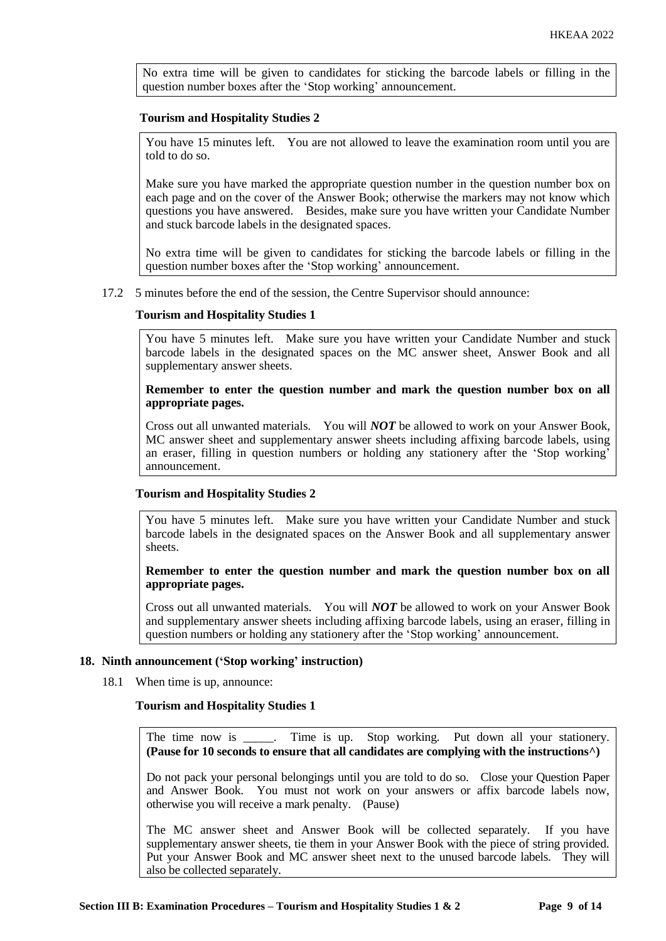No extra time will be given to candidates for sticking the barcode labels or filling in the question number boxes after the 'Stop working' announcement.

#### **Tourism and Hospitality Studies 2**

You have 15 minutes left. You are not allowed to leave the examination room until you are told to do so.

Make sure you have marked the appropriate question number in the question number box on each page and on the cover of the Answer Book; otherwise the markers may not know which questions you have answered. Besides, make sure you have written your Candidate Number and stuck barcode labels in the designated spaces.

No extra time will be given to candidates for sticking the barcode labels or filling in the question number boxes after the 'Stop working' announcement.

#### 17.2 5 minutes before the end of the session, the Centre Supervisor should announce:

#### **Tourism and Hospitality Studies 1**

You have 5 minutes left. Make sure you have written your Candidate Number and stuck barcode labels in the designated spaces on the MC answer sheet, Answer Book and all supplementary answer sheets.

### **Remember to enter the question number and mark the question number box on all appropriate pages.**

Cross out all unwanted materials. You will *NOT* be allowed to work on your Answer Book, MC answer sheet and supplementary answer sheets including affixing barcode labels, using an eraser, filling in question numbers or holding any stationery after the 'Stop working' announcement.

#### **Tourism and Hospitality Studies 2**

You have 5 minutes left. Make sure you have written your Candidate Number and stuck barcode labels in the designated spaces on the Answer Book and all supplementary answer sheets.

**Remember to enter the question number and mark the question number box on all appropriate pages.** 

Cross out all unwanted materials. You will *NOT* be allowed to work on your Answer Book and supplementary answer sheets including affixing barcode labels, using an eraser, filling in question numbers or holding any stationery after the 'Stop working' announcement.

#### **18. Ninth announcement ('Stop working' instruction)**

18.1 When time is up, announce:

#### **Tourism and Hospitality Studies 1**

The time now is \_\_\_\_\_. Time is up. Stop working. Put down all your stationery. **(Pause for 10 seconds to ensure that all candidates are complying with the instructions^)**

Do not pack your personal belongings until you are told to do so. Close your Question Paper and Answer Book. You must not work on your answers or affix barcode labels now, otherwise you will receive a mark penalty. (Pause)

The MC answer sheet and Answer Book will be collected separately. If you have supplementary answer sheets, tie them in your Answer Book with the piece of string provided. Put your Answer Book and MC answer sheet next to the unused barcode labels. They will also be collected separately.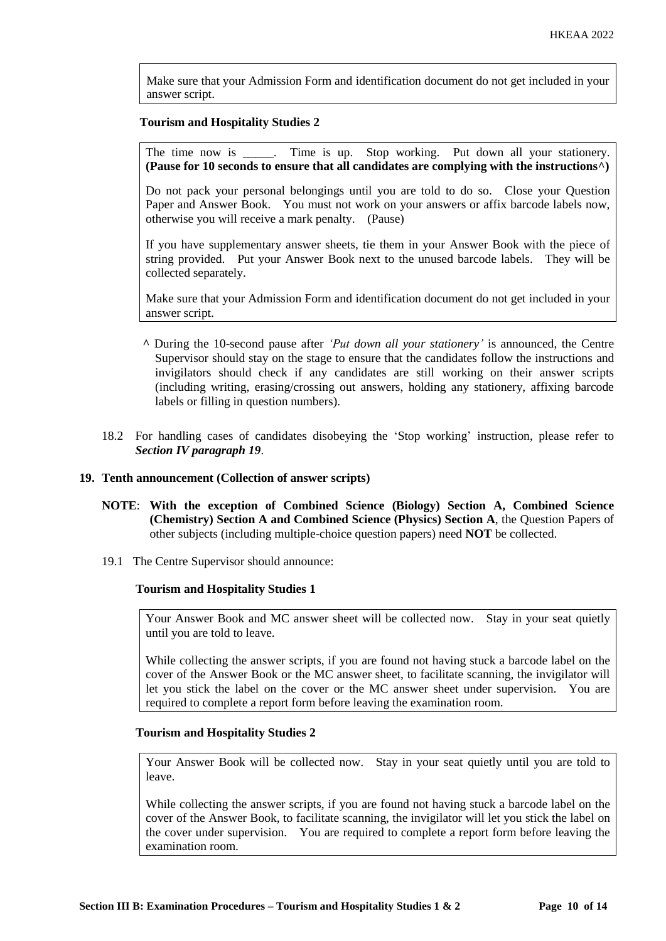Make sure that your Admission Form and identification document do not get included in your answer script.

#### **Tourism and Hospitality Studies 2**

The time now is \_\_\_\_\_. Time is up. Stop working. Put down all your stationery. **(Pause for 10 seconds to ensure that all candidates are complying with the instructions^)**

Do not pack your personal belongings until you are told to do so. Close your Question Paper and Answer Book. You must not work on your answers or affix barcode labels now, otherwise you will receive a mark penalty. (Pause)

If you have supplementary answer sheets, tie them in your Answer Book with the piece of string provided. Put your Answer Book next to the unused barcode labels. They will be collected separately.

Make sure that your Admission Form and identification document do not get included in your answer script.

- **^** During the 10-second pause after *'Put down all your stationery'* is announced, the Centre Supervisor should stay on the stage to ensure that the candidates follow the instructions and invigilators should check if any candidates are still working on their answer scripts (including writing, erasing/crossing out answers, holding any stationery, affixing barcode labels or filling in question numbers).
- 18.2 For handling cases of candidates disobeying the 'Stop working' instruction, please refer to *Section IV paragraph 19*.

# **19. Tenth announcement (Collection of answer scripts)**

- **NOTE**: **With the exception of Combined Science (Biology) Section A, Combined Science (Chemistry) Section A and Combined Science (Physics) Section A**, the Question Papers of other subjects (including multiple-choice question papers) need **NOT** be collected.
- 19.1 The Centre Supervisor should announce:

#### **Tourism and Hospitality Studies 1**

Your Answer Book and MC answer sheet will be collected now. Stay in your seat quietly until you are told to leave.

While collecting the answer scripts, if you are found not having stuck a barcode label on the cover of the Answer Book or the MC answer sheet, to facilitate scanning, the invigilator will let you stick the label on the cover or the MC answer sheet under supervision. You are required to complete a report form before leaving the examination room.

# **Tourism and Hospitality Studies 2**

Your Answer Book will be collected now. Stay in your seat quietly until you are told to leave.

While collecting the answer scripts, if you are found not having stuck a barcode label on the cover of the Answer Book, to facilitate scanning, the invigilator will let you stick the label on the cover under supervision. You are required to complete a report form before leaving the examination room.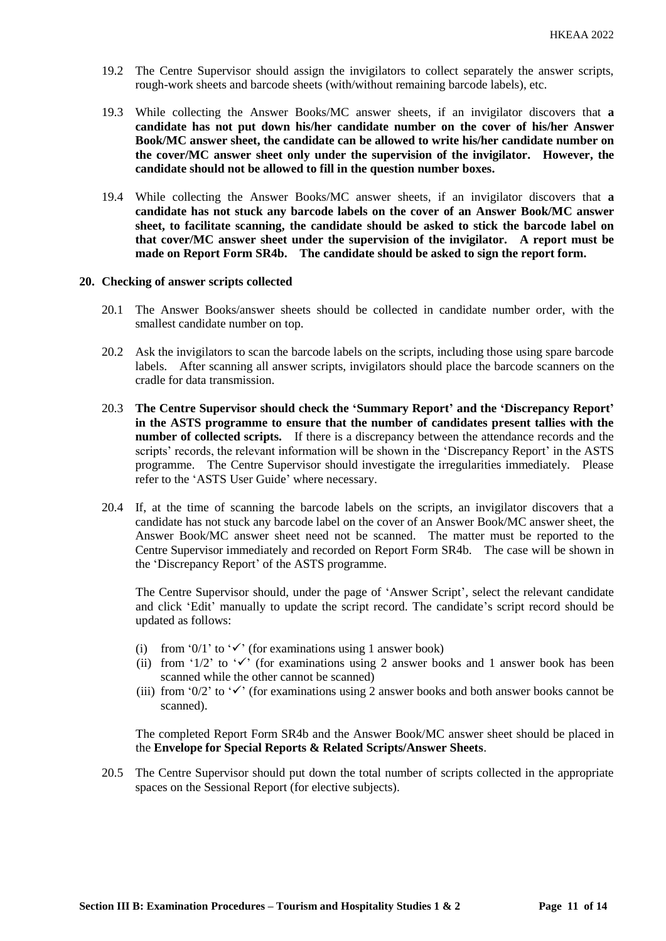- 19.2 The Centre Supervisor should assign the invigilators to collect separately the answer scripts, rough-work sheets and barcode sheets (with/without remaining barcode labels), etc.
- 19.3 While collecting the Answer Books/MC answer sheets, if an invigilator discovers that **a candidate has not put down his/her candidate number on the cover of his/her Answer Book/MC answer sheet, the candidate can be allowed to write his/her candidate number on the cover/MC answer sheet only under the supervision of the invigilator. However, the candidate should not be allowed to fill in the question number boxes.**
- 19.4 While collecting the Answer Books/MC answer sheets, if an invigilator discovers that **a candidate has not stuck any barcode labels on the cover of an Answer Book/MC answer sheet, to facilitate scanning, the candidate should be asked to stick the barcode label on that cover/MC answer sheet under the supervision of the invigilator. A report must be made on Report Form SR4b. The candidate should be asked to sign the report form.**

#### **20. Checking of answer scripts collected**

- 20.1 The Answer Books/answer sheets should be collected in candidate number order, with the smallest candidate number on top.
- 20.2 Ask the invigilators to scan the barcode labels on the scripts, including those using spare barcode labels. After scanning all answer scripts, invigilators should place the barcode scanners on the cradle for data transmission.
- 20.3 **The Centre Supervisor should check the 'Summary Report' and the 'Discrepancy Report' in the ASTS programme to ensure that the number of candidates present tallies with the number of collected scripts.** If there is a discrepancy between the attendance records and the scripts' records, the relevant information will be shown in the 'Discrepancy Report' in the ASTS programme. The Centre Supervisor should investigate the irregularities immediately. Please refer to the 'ASTS User Guide' where necessary.
- 20.4 If, at the time of scanning the barcode labels on the scripts, an invigilator discovers that a candidate has not stuck any barcode label on the cover of an Answer Book/MC answer sheet, the Answer Book/MC answer sheet need not be scanned. The matter must be reported to the Centre Supervisor immediately and recorded on Report Form SR4b. The case will be shown in the 'Discrepancy Report' of the ASTS programme.

The Centre Supervisor should, under the page of 'Answer Script', select the relevant candidate and click 'Edit' manually to update the script record. The candidate's script record should be updated as follows:

- (i) from '0/1' to ' $\checkmark$ ' (for examinations using 1 answer book)
- (ii) from '1/2' to ' $\checkmark$ ' (for examinations using 2 answer books and 1 answer book has been scanned while the other cannot be scanned)
- (iii) from '0/2' to ' $\checkmark$ ' (for examinations using 2 answer books and both answer books cannot be scanned).

The completed Report Form SR4b and the Answer Book/MC answer sheet should be placed in the **Envelope for Special Reports & Related Scripts/Answer Sheets**.

20.5 The Centre Supervisor should put down the total number of scripts collected in the appropriate spaces on the Sessional Report (for elective subjects).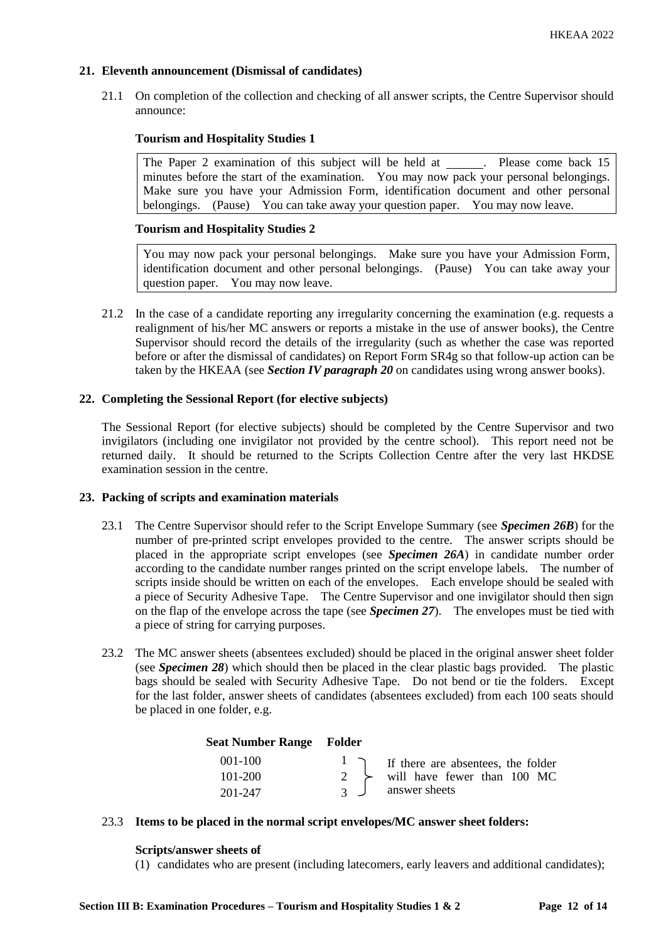# **21. Eleventh announcement (Dismissal of candidates)**

21.1 On completion of the collection and checking of all answer scripts, the Centre Supervisor should announce:

# **Tourism and Hospitality Studies 1**

The Paper 2 examination of this subject will be held at \_\_\_\_\_\_. Please come back 15 minutes before the start of the examination. You may now pack your personal belongings. Make sure you have your Admission Form, identification document and other personal belongings. (Pause) You can take away your question paper. You may now leave.

# **Tourism and Hospitality Studies 2**

You may now pack your personal belongings. Make sure you have your Admission Form, identification document and other personal belongings. (Pause) You can take away your question paper. You may now leave.

21.2 In the case of a candidate reporting any irregularity concerning the examination (e.g. requests a realignment of his/her MC answers or reports a mistake in the use of answer books), the Centre Supervisor should record the details of the irregularity (such as whether the case was reported before or after the dismissal of candidates) on Report Form SR4g so that follow-up action can be taken by the HKEAA (see *Section IV paragraph 20* on candidates using wrong answer books).

# **22. Completing the Sessional Report (for elective subjects)**

The Sessional Report (for elective subjects) should be completed by the Centre Supervisor and two invigilators (including one invigilator not provided by the centre school). This report need not be returned daily. It should be returned to the Scripts Collection Centre after the very last HKDSE examination session in the centre.

# **23. Packing of scripts and examination materials**

- 23.1 The Centre Supervisor should refer to the Script Envelope Summary (see *Specimen 26B*) for the number of pre-printed script envelopes provided to the centre. The answer scripts should be placed in the appropriate script envelopes (see *Specimen 26A*) in candidate number order according to the candidate number ranges printed on the script envelope labels. The number of scripts inside should be written on each of the envelopes. Each envelope should be sealed with a piece of Security Adhesive Tape. The Centre Supervisor and one invigilator should then sign on the flap of the envelope across the tape (see *Specimen 27*). The envelopes must be tied with a piece of string for carrying purposes.
- 23.2 The MC answer sheets (absentees excluded) should be placed in the original answer sheet folder (see *Specimen 28*) which should then be placed in the clear plastic bags provided. The plastic bags should be sealed with Security Adhesive Tape. Do not bend or tie the folders. Except for the last folder, answer sheets of candidates (absentees excluded) from each 100 seats should be placed in one folder, e.g.

# **Seat Number Range Folder**

| $001 - 100$ |               | I if there are absentees, the folder        |
|-------------|---------------|---------------------------------------------|
| $101 - 200$ |               | $2 \rightarrow$ will have fewer than 100 MC |
| 201-247     | $\mathcal{L}$ | answer sheets                               |

# 23.3 **Items to be placed in the normal script envelopes/MC answer sheet folders:**

#### **Scripts/answer sheets of**

(1) candidates who are present (including latecomers, early leavers and additional candidates);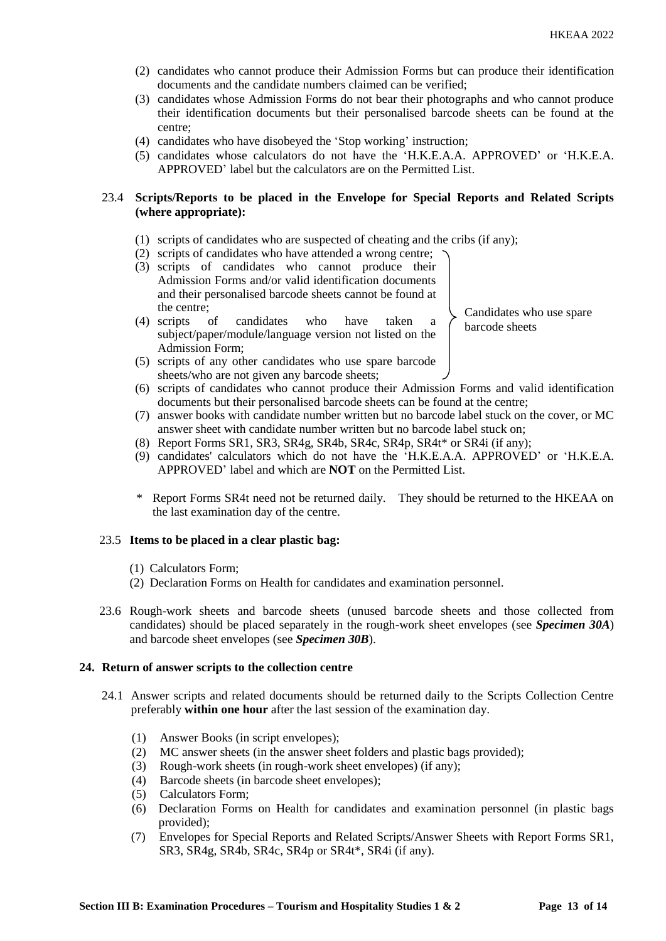- (2) candidates who cannot produce their Admission Forms but can produce their identification documents and the candidate numbers claimed can be verified;
- (3) candidates whose Admission Forms do not bear their photographs and who cannot produce their identification documents but their personalised barcode sheets can be found at the centre;
- (4) candidates who have disobeyed the 'Stop working' instruction;
- (5) candidates whose calculators do not have the 'H.K.E.A.A. APPROVED' or 'H.K.E.A. APPROVED' label but the calculators are on the Permitted List.

# 23.4 **Scripts/Reports to be placed in the Envelope for Special Reports and Related Scripts (where appropriate):**

- (1) scripts of candidates who are suspected of cheating and the cribs (if any);
- (2) scripts of candidates who have attended a wrong centre;
- (3) scripts of candidates who cannot produce their Admission Forms and/or valid identification documents and their personalised barcode sheets cannot be found at the centre;
- (4) scripts of candidates who have taken a subject/paper/module/language version not listed on the Admission Form;
- (5) scripts of any other candidates who use spare barcode sheets/who are not given any barcode sheets;

Candidates who use spare barcode sheets

- (6) scripts of candidates who cannot produce their Admission Forms and valid identification documents but their personalised barcode sheets can be found at the centre;
- (7) answer books with candidate number written but no barcode label stuck on the cover, or MC answer sheet with candidate number written but no barcode label stuck on;
- (8) Report Forms SR1, SR3, SR4g, SR4b, SR4c, SR4p, SR4t\* or SR4i (if any);
- (9) candidates' calculators which do not have the 'H.K.E.A.A. APPROVED' or 'H.K.E.A. APPROVED' label and which are **NOT** on the Permitted List.
- \* Report Forms SR4t need not be returned daily. They should be returned to the HKEAA on the last examination day of the centre.

# 23.5 **Items to be placed in a clear plastic bag:**

- (1) Calculators Form;
- (2) Declaration Forms on Health for candidates and examination personnel.
- 23.6 Rough-work sheets and barcode sheets (unused barcode sheets and those collected from candidates) should be placed separately in the rough-work sheet envelopes (see *Specimen 30A*) and barcode sheet envelopes (see *Specimen 30B*).

# **24. Return of answer scripts to the collection centre**

- 24.1 Answer scripts and related documents should be returned daily to the Scripts Collection Centre preferably **within one hour** after the last session of the examination day.
	- (1) Answer Books (in script envelopes);
	- (2) MC answer sheets (in the answer sheet folders and plastic bags provided);
	- (3) Rough-work sheets (in rough-work sheet envelopes) (if any);
	- (4) Barcode sheets (in barcode sheet envelopes);
	- (5) Calculators Form;
	- (6) Declaration Forms on Health for candidates and examination personnel (in plastic bags provided);
	- (7) Envelopes for Special Reports and Related Scripts/Answer Sheets with Report Forms SR1, SR3, SR4g, SR4b, SR4c, SR4p or SR4t\*, SR4i (if any).